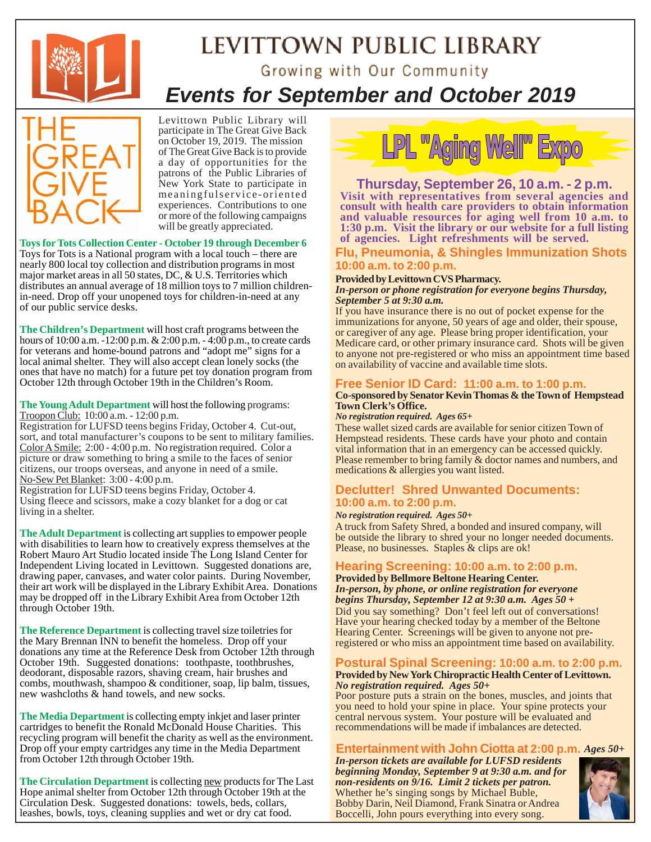

# LEVITTOWN PUBLIC LIBRARY Growing with Our Community *Events for September and October 2019*



Levittown Public Library will participate in The Great Give Back on October 19, 2019. The mission of The Great Give Back is to provide a day of opportunities for the patrons of the Public Libraries of New York State to participate in meaningfulservice-oriented experiences. Contributions to one or more of the following campaigns will be greatly appreciated.

**Toys for Tots Collection Center - October 19 through December 6** Toys for Tots is a National program with a local touch – there are nearly 800 local toy collection and distribution programs in most major market areas in all 50 states, DC, & U.S. Territories which distributes an annual average of 18 million toys to 7 million childrenin-need. Drop off your unopened toys for children-in-need at any of our public service desks.

**The Children's Department** will host craft programs between the hours of 10:00 a.m. -12:00 p.m. & 2:00 p.m. - 4:00 p.m., to create cards for veterans and home-bound patrons and "adopt me" signs for a local animal shelter. They will also accept clean lonely socks (the ones that have no match) for a future pet toy donation program from October 12th through October 19th in the Children's Room.

#### **The Young Adult Department** will host the following programs: Troopon Club: 10:00 a.m. - 12:00 p.m.

Registration for LUFSD teens begins Friday, October 4.Cut-out, sort, and total manufacturer's coupons to be sent to military families. Color A Smile: 2:00 - 4:00 p.m. No registration required. Color a picture or draw something to bring a smile to the faces of senior citizens, our troops overseas, and anyone in need of a smile. No-Sew Pet Blanket: 3:00 - 4:00 p.m.

Registration for LUFSD teens begins Friday, October 4. Using fleece and scissors, make a cozy blanket for a dog or cat living in a shelter.

**The Adult Department** is collecting art supplies to empower people with disabilities to learn how to creatively express themselves at the Robert Mauro Art Studio located inside The Long Island Center for Independent Living located in Levittown. Suggested donations are, drawing paper, canvases, and water color paints. During November, their art work will be displayed in the Library Exhibit Area. Donations may be dropped off in the Library Exhibit Area from October 12th through October 19th.

**The Reference Department** is collecting travel size toiletries for the Mary Brennan INN to benefit the homeless. Drop off your donations any time at the Reference Desk from October 12th through October 19th. Suggested donations: toothpaste, toothbrushes, deodorant, disposable razors, shaving cream, hair brushes and combs, mouthwash, shampoo & conditioner, soap, lip balm, tissues, new washcloths & hand towels, and new socks.

**The Media Department** is collecting empty inkjet and laser printer cartridges to benefit the Ronald McDonald House Charities. This recycling program will benefit the charity as well as the environment. Drop off your empty cartridges any time in the Media Department from October 12th through October 19th.

**The Circulation Department** is collecting new products for The Last Hope animal shelter from October 12th through October 19th at the Circulation Desk. Suggested donations: towels, beds, collars, leashes, bowls, toys, cleaning supplies and wet or dry cat food.



#### **Visit with representatives from several agencies and consult with health care providers to obtain information and valuable resources for aging well from 10 a.m. to 1:30 p.m. Visit the library or our website for a full listing of agencies. Light refreshments will be served. Thursday, September 26, 10 a.m. - 2 p.m.**

**Flu, Pneumonia, & Shingles Immunization Shots 10:00 a.m. to 2:00 p.m.**

#### **Provided by Levittown CVS Pharmacy.**

*In-person or phone registration for everyone begins Thursday, September 5 at 9:30 a.m.*

If you have insurance there is no out of pocket expense for the immunizations for anyone, 50 years of age and older, their spouse, or caregiver of any age. Please bring proper identification, your Medicare card, or other primary insurance card. Shots will be given to anyone not pre-registered or who miss an appointment time based on availability of vaccine and available time slots.

#### **Free Senior ID Card: 11:00 a.m. to 1:00 p.m.**

#### **Co-sponsored by Senator Kevin Thomas & the Town of Hempstead Town Clerk's Office.**

#### *No registration required. Ages 65+*

These wallet sized cards are available for senior citizen Town of Hempstead residents. These cards have your photo and contain vital information that in an emergency can be accessed quickly. Please remember to bring family & doctor names and numbers, and medications & allergies you want listed.

#### **Declutter! Shred Unwanted Documents: 10:00 a.m. to 2:00 p.m.**

#### *No registration required. Ages 50+*

A truck from Safety Shred, a bonded and insured company, will be outside the library to shred your no longer needed documents. Please, no businesses. Staples & clips are ok!

#### **Hearing Screening: 10:00 a.m. to 2:00 p.m.**

**Provided by Bellmore Beltone Hearing Center.**

Did you say something? Don't feel left out of conversations! Have your hearing checked today by a member of the Beltone Hearing Center. Screenings will be given to anyone not preregistered or who miss an appointment time based on availability. *In-person, by phone, or online registration for everyone begins Thursday, September 12 at 9:30 a.m. Ages 50 +*

#### **Postural Spinal Screening: 10:00 a.m. to 2:00 p.m.**

#### **Provided by New York Chiropractic Health Center of Levittown.** *No registration required. Ages 50+*

Poor posture puts a strain on the bones, muscles, and joints that you need to hold your spine in place. Your spine protects your central nervous system. Your posture will be evaluated and recommendations will be made if imbalances are detected.

#### **Entertainment with John Ciotta at 2:00 p.m.** *Ages 50+*

*In-person tickets are available for LUFSD residents beginning Monday, September 9 at 9:30 a.m. and for non-residents on 9/16. Limit 2 tickets per patron.* Whether he's singing songs by Michael Buble, Bobby Darin, Neil Diamond, Frank Sinatra or Andrea Boccelli, John pours everything into every song.

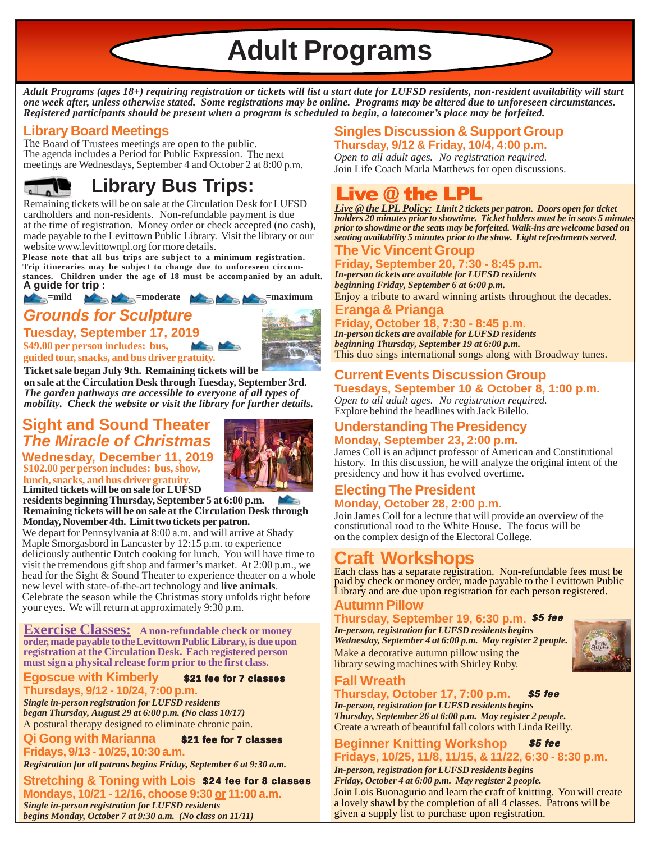**Adult Programs**

*Adult Programs (ages 18+) requiring registration or tickets will list a start date for LUFSD residents, non-resident availability will start one week after, unless otherwise stated. Some registrations may be online. Programs may be altered due to unforeseen circumstances. Registered participants should be present when a program is scheduled to begin, a latecomer's place may be forfeited.*

# **Library Board Meetings**

The Board of Trustees meetings are open to the public. The agenda includes a Period for Public Expression. The next meetings are Wednesdays, September 4 and October 2 at 8:00 p.m.



# **Library Bus Trips:**

Remaining tickets will be on sale at the Circulation Desk for LUFSD cardholders and non-residents. Non-refundable payment is due at the time of registration. Money order or check accepted (no cash), made payable to the Levittown Public Library. Visit the library or our website www.levittownpl.org for more details.

**Please note that all bus trips are subject to a minimum registration. Trip itineraries may be subject to change due to unforeseen circumstances. Children under the age of 18 must be accompanied by an adult. A guide for trip :**

#### *Grounds for Sculpture* **Example 19 and 19 and 19 and 19 and 19 and 19 and 19 and 19 and 19 and 19 and 19 and 19 and 19 and 19 and 19 and 19 and 19 and 19 and 19 and 19 and 19 and 19 and 19 and 19 and 19 and 19 and 19 and 19 and 19 and 19 and 19**

**\$49.00 per person includes: bus, Tuesday, September 17, 2019**



**guided tour, snacks, and bus driver gratuity. Ticket sale began July 9th. Remaining tickets will be**

**on sale at the Circulation Desk through Tuesday, September 3rd.** *The garden pathways are accessible to everyone of all types of mobility. Check the website or visit the library for further details.*

# **Sight and Sound Theater** *The Miracle of Christmas*



**\$102.00 per person includes: bus, show, lunch, snacks, and bus driver gratuity. Wednesday, December 11, 2019 Limited tickets will be on sale for LUFSD**

**residents beginning Thursday, September 5 at 6:00 p.m. Remaining tickets will be on sale at the Circulation Desk through Monday, November 4th. Limit two tickets per patron.**

We depart for Pennsylvania at 8:00 a.m. and will arrive at Shady Maple Smorgasbord in Lancaster by 12:15 p.m. to experience deliciously authentic Dutch cooking for lunch. You will have time to visit the tremendous gift shop and farmer's market. At 2:00 p.m., we head for the Sight & Sound Theater to experience theater on a whole new level with state-of-the-art technology and **live animals**. Celebrate the season while the Christmas story unfolds right before your eyes. We will return at approximately 9:30 p.m.

**Exercise Classes: A non-refundable check or money order, made payable to the Levittown Public Library, is due upon registration at the Circulation Desk. Each registered person must sign a physical release form prior to the first class.**

#### **Egoscue with Kimberly Thursdays, 9/12 - 10/24, 7:00 p.m.** \$21 fee for 7 classes

*Single in-person registration for LUFSD residents began Thursday, August 29 at 6:00 p.m. (No class 10/17)* A postural therapy designed to eliminate chronic pain.

**Qi Gong with Marianna Fridays, 9/13 - 10/25, 10:30 a.m.** \$21 fee for 7 classes

*Registration for all patrons begins Friday, September 6 at 9:30 a.m.*

**Stretching & Toning with Lois** \$24 fee for 8 classes **Mondays, 10/21 - 12/16, choose 9:30 or 11:00 a.m.** *Single in-person registration for LUFSD residents begins Monday, October 7 at 9:30 a.m. (No class on 11/11)*

### **Singles Discussion & Support Group Thursday, 9/12 & Friday, 10/4, 4:00 p.m.**

Join Life Coach Marla Matthews for open discussions. *Open to all adult ages. No registration required.*

# Live  $\omega$  the LPL

*Live @ the LPL Policy: Limit 2 tickets per patron. Doors open for ticket holders 20 minutes prior to showtime. Ticket holders must be in seats 5 minutes prior to showtime or the seats may be forfeited. Walk-ins are welcome based on seating availability 5 minutes prior to the show. Light refreshments served.*

### **The Vic Vincent Group**

**Friday, September 20, 7:30 - 8:45 p.m.** *In-person tickets are available for LUFSD residents beginning Friday, September 6 at 6:00 p.m.*

**Eranga & Prianga** Enjoy a tribute to award winning artists throughout the decades.

### **Friday, October 18, 7:30 - 8:45 p.m.**

*In-person tickets are available for LUFSD residents beginning Thursday, September 19 at 6:00 p.m.* This duo sings international songs along with Broadway tunes.

### **Current Events Discussion Group Tuesdays, September 10 & October 8, 1:00 p.m.**

*Open to all adult ages. No registration required.* Explore behind the headlines with Jack Bilello.

#### **Understanding The Presidency Monday, September 23, 2:00 p.m.**

James Coll is an adjunct professor of American and Constitutional history. In this discussion, he will analyze the original intent of the presidency and how it has evolved overtime.

#### **Electing The President Monday, October 28, 2:00 p.m.**

Join James Coll for a lecture that will provide an overview of the constitutional road to the White House. The focus will be on the complex design of the Electoral College.

# **Craft Workshops**

Each class has a separate registration. Non-refundable fees must be paid by check or money order, made payable to the Levittown Public Library and are due upon registration for each person registered.

#### **Autumn Pillow**

#### **Thursday, September 19, 6:30 p.m.** \$5 fee

Make a decorative autumn pillow using the library sewing machines with Shirley Ruby. *In-person, registration for LUFSD residents begins Wednesday, September 4 at 6:00 p.m. May register 2 people.*



# **Fall Wreath**

**Thursday, October 17, 7:00 p.m.** \$5 fee

Create a wreath of beautiful fall colors with Linda Reilly. *In-person, registration for LUFSD residents begins Thursday, September 26 at 6:00 p.m. May register 2 people.*

#### **Beginner Knitting Workshop Fridays, 10/25, 11/8, 11/15, & 11/22, 6:30 - 8:30 p.m.** \$5 fee

Join Lois Buonagurio and learn the craft of knitting. You will create a lovely shawl by the completion of all 4 classes. Patrons will be given a supply list to purchase upon registration. *In-person, registration for LUFSD residents begins Friday, October 4 at 6:00 p.m. May register 2 people.*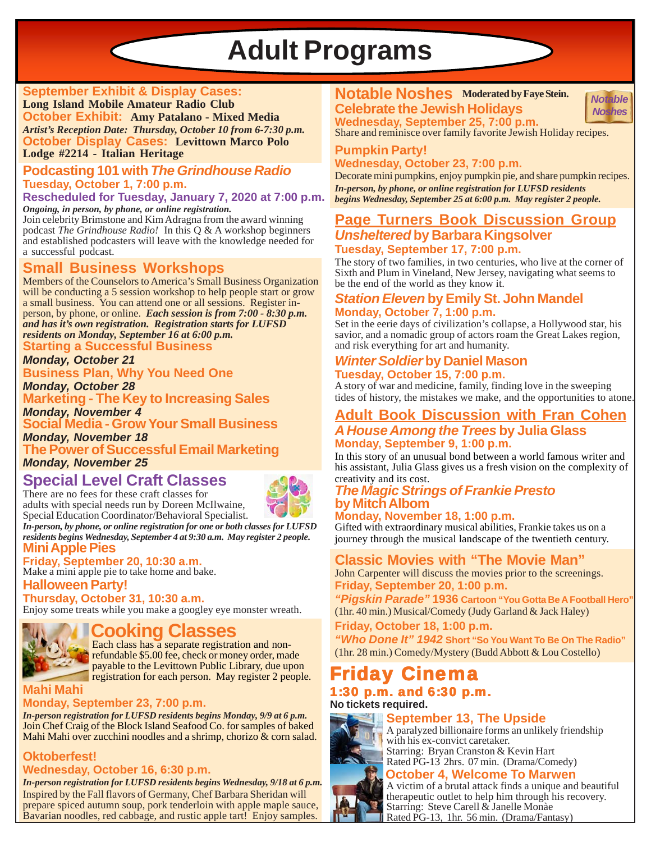# **Adult Programs**

#### **September Exhibit & Display Cases:**

**Long Island Mobile Amateur Radio Club October Exhibit: Amy Patalano - Mixed Media** *Artist's Reception Date: Thursday, October 10 from 6-7:30 p.m.* **October Display Cases: Levittown Marco Polo**

#### **Lodge #2214 - Italian Heritage**

#### **Podcasting 101 with** *The Grindhouse Radio* **Tuesday, October 1, 7:00 p.m.**

**Rescheduled for Tuesday, January 7, 2020 at 7:00 p.m.** *Ongoing, in person, by phone, or online registration.*

Join celebrity Brimstone and Kim Adragna from the award winning podcast *The Grindhouse Radio!* In this Q & A workshop beginners and established podcasters will leave with the knowledge needed for a successful podcast.

### **Small Business Workshops**

Members of the Counselors to America's Small Business Organization will be conducting a 5 session workshop to help people start or grow a small business. You can attend one or all sessions. Register inperson, by phone, or online. *Each session is from 7:00 - 8:30 p.m. and has it's own registration. Registration starts for LUFSD residents on Monday, September 16 at 6:00 p.m.*

**Starting a Successful Business**

*Monday, October 21*

**Business Plan, Why You Need One**

*Monday, October 28* **Marketing - The Key to Increasing Sales** *Monday, November 4*

**Social Media - Grow Your Small Business**

*Monday, November 18* **The Power of Successful Email Marketing** *Monday, November 25*

# **Special Level Craft Classes**

There are no fees for these craft classes for adults with special needs run by Doreen McIlwaine, Special Education Coordinator/Behavioral Specialist.

**Mini Apple Pies** *In-person, by phone, or online registration for one or both classes for LUFSD residents begins Wednesday, September 4 at 9:30 a.m. May register 2 people.*

#### **Friday, September 20, 10:30 a.m.**

Make a mini apple pie to take home and bake. **Halloween Party!**

#### **Thursday, October 31, 10:30 a.m.**

Enjoy some treats while you make a googley eye monster wreath.

# **Cooking Classes**

Each class has a separate registration and nonrefundable \$5.00 fee, check or money order, made payable to the Levittown Public Library, due upon registration for each person. May register 2 people.

#### **Mahi Mahi**

#### **Monday, September 23, 7:00 p.m.**

Join Chef Craig of the Block Island Seafood Co. for samples of baked Mahi Mahi over zucchini noodles and a shrimp, chorizo & corn salad. *In-person registration for LUFSD residents begins Monday, 9/9 at 6 p.m.*

#### **Oktoberfest! Wednesday, October 16, 6:30 p.m.**

*In-person registration for LUFSD residents begins Wednesday, 9/18 at 6 p.m.* Inspired by the Fall flavors of Germany, Chef Barbara Sheridan will prepare spiced autumn soup, pork tenderloin with apple maple sauce, Bavarian noodles, red cabbage, and rustic apple tart! Enjoy samples.

### **Notable Noshes Moderated by Faye Stein. Celebrate the Jewish Holidays**



**Wednesday, September 25, 7:00 p.m.** Share and reminisce over family favorite Jewish Holiday recipes.

#### **Pumpkin Party!**

**Wednesday, October 23, 7:00 p.m.**

Decorate mini pumpkins, enjoy pumpkin pie, and share pumpkin recipes. *In-person, by phone, or online registration for LUFSD residents begins Wednesday, September 25 at 6:00 p.m. May register 2 people.*

#### **Page Turners Book Discussion Group** *Unsheltered* **by Barbara Kingsolver Tuesday, September 17, 7:00 p.m.**

The story of two families, in two centuries, who live at the corner of Sixth and Plum in Vineland, New Jersey, navigating what seems to be the end of the world as they know it.

#### *Station Eleven* **by Emily St. John Mandel Monday, October 7, 1:00 p.m.**

Set in the eerie days of civilization's collapse, a Hollywood star, his savior, and a nomadic group of actors roam the Great Lakes region, and risk everything for art and humanity.

# *Winter Soldier* **by Daniel Mason**

**Tuesday, October 15, 7:00 p.m.** A story of war and medicine, family, finding love in the sweeping tides of history, the mistakes we make, and the opportunities to atone.

### **Adult Book Discussion with Fran Cohen** *A House Among the Trees* **by Julia Glass**

**Monday, September 9, 1:00 p.m.**

In this story of an unusual bond between a world famous writer and his assistant, Julia Glass gives us a fresh vision on the complexity of creativity and its cost.

#### *The Magic Strings of Frankie Presto* **by Mitch Albom**

**Monday, November 18, 1:00 p.m.**

Gifted with extraordinary musical abilities, Frankie takes us on a journey through the musical landscape of the twentieth century.

### **Classic Movies with "The Movie Man"**

**Friday, September 20, 1:00 p.m.** John Carpenter will discuss the movies prior to the screenings.

*"Pigskin Parade"* **1936 Cartoon "You Gotta Be A Football Hero"** (1hr. 40 min.) Musical/Comedy (Judy Garland & Jack Haley)

**Friday, October 18, 1:00 p.m.**

*"Who Done It" 1942* **Short "So You Want To Be On The Radio"** (1hr. 28 min.) Comedy/Mystery (Budd Abbott & Lou Costello)

# **Iday Cinema** 1:30 p.m. and  $6:30$  p.m.

# **No tickets required.**

# **September 13, The Upside**



A paralyzed billionaire forms an unlikely friendship with his ex-convict caretaker. Starring: Bryan Cranston & Kevin Hart Rated PG-13 2hrs. 07 min. (Drama/Comedy)

**October 4, Welcome To Marwen** A victim of a brutal attack finds a unique and beautiful therapeutic outlet to help him through his recovery. Starring: Steve Carell & Janelle Monàe Rated PG-13, 1hr. 56 min. (Drama/Fantasy)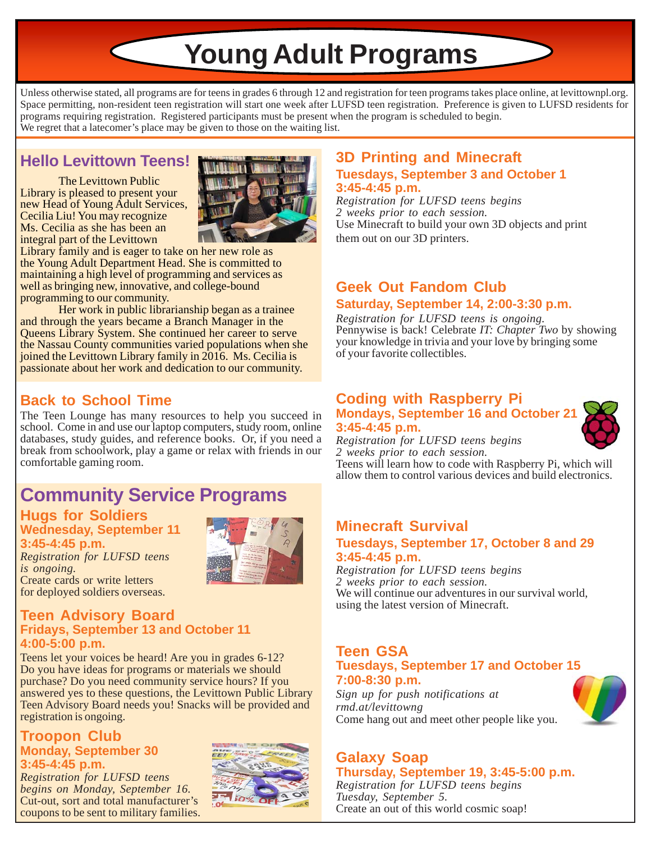**Young Adult Programs**

Unless otherwise stated, all programs are for teens in grades 6 through 12 and registration for teen programs takes place online, at levittownpl.org. Space permitting, non-resident teen registration will start one week after LUFSD teen registration. Preference is given to LUFSD residents for programs requiring registration. Registered participants must be present when the program is scheduled to begin. We regret that a latecomer's place may be given to those on the waiting list.

# **Hello Levittown Teens!**

The Levittown Public Library is pleased to present your new Head of Young Adult Services, Cecilia Liu! You may recognize Ms. Cecilia as she has been an integral part of the Levittown



Library family and is eager to take on her new role as the Young Adult Department Head. She is committed to maintaining a high level of programming and services as well as bringing new, innovative, and college-bound programming to our community.

Her work in public librarianship began as a trainee and through the years became a Branch Manager in the Queens Library System. She continued her career to serve the Nassau County communities varied populations when she joined the Levittown Library family in 2016. Ms. Cecilia is passionate about her work and dedication to our community.

# **Back to School Time**

The Teen Lounge has many resources to help you succeed in school. Come in and use our laptop computers, study room, online databases, study guides, and reference books. Or, if you need a break from schoolwork, play a game or relax with friends in our comfortable gaming room.

# **Community Service Programs**

# **Hugs for Soldiers Wednesday, September 11**

**3:45-4:45 p.m.** *Registration for LUFSD teens is ongoing.* Create cards or write letters for deployed soldiers overseas.



### using the latest version of Minecraft. **Teen Advisory Board Fridays, September 13 and October 11 4:00-5:00 p.m.**

Teens let your voices be heard! Are you in grades 6-12? Do you have ideas for programs or materials we should purchase? Do you need community service hours? If you answered yes to these questions, the Levittown Public Library Teen Advisory Board needs you! Snacks will be provided and registration is ongoing.

#### **Troopon Club Monday, September 30 3:45-4:45 p.m.**

*Registration for LUFSD teens begins on Monday, September 16.* Cut-out, sort and total manufacturer's coupons to be sent to military families.



### **3D Printing and Minecraft Tuesdays, September 3 and October 1 3:45-4:45 p.m.**

*Registration for LUFSD teens begins 2 weeks prior to each session.* Use Minecraft to build your own 3D objects and print them out on our 3D printers.

### **Geek Out Fandom Club Saturday, September 14, 2:00-3:30 p.m.**

*Registration for LUFSD teens is ongoing.* Pennywise is back! Celebrate *IT: Chapter Two* by showing your knowledge in trivia and your love by bringing some of your favorite collectibles.

#### **Coding with Raspberry Pi Mondays, September 16 and October 21**



**3:45-4:45 p.m.** *Registration for LUFSD teens begins 2 weeks prior to each session.*

Teens will learn how to code with Raspberry Pi, which will allow them to control various devices and build electronics.

### **Minecraft Survival**

#### **Tuesdays, September 17, October 8 and 29 3:45-4:45 p.m.**

*Registration for LUFSD teens begins 2 weeks prior to each session.* We will continue our adventures in our survival world,

#### **Teen GSA Tuesdays, September 17 and October 15 7:00-8:30 p.m.**

*Sign up for push notifications at rmd.at/levittowng* Come hang out and meet other people like you.



# **Galaxy Soap**

**Thursday, September 19, 3:45-5:00 p.m.** *Registration for LUFSD teens begins Tuesday, September 5.* Create an out of this world cosmic soap!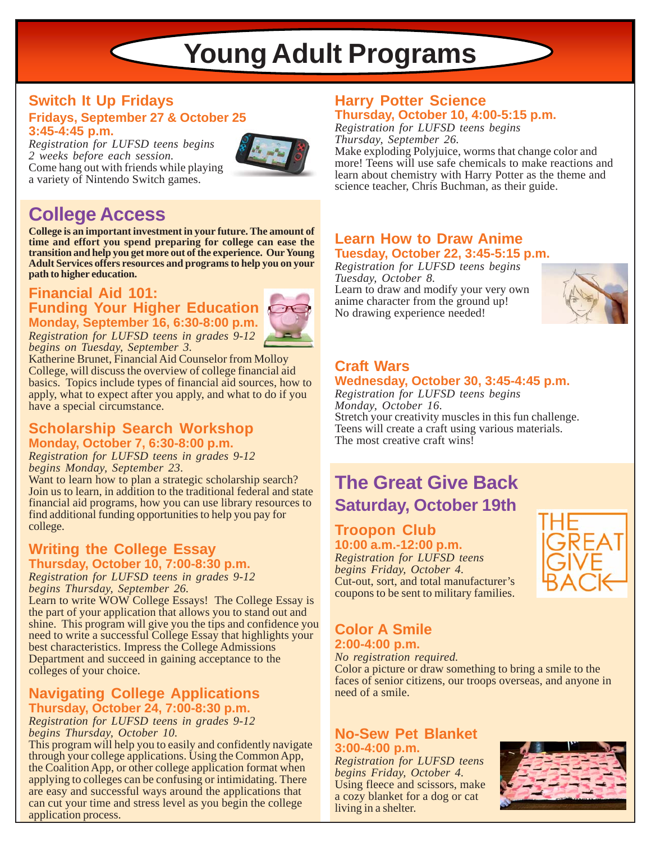# **Young Adult Programs**

#### **Switch It Up Fridays Fridays, September 27 & October 25 3:45-4:45 p.m.**

 $\subset$ 

*Registration for LUFSD teens begins 2 weeks before each session.* Come hang out with friends while playing a variety of Nintendo Switch games.



# **College Access**

**College is an important investment in your future. The amount of time and effort you spend preparing for college can ease the transition and help you get more out of the experience. Our Young Adult Services offers resources and programs to help you on your path to higher education.**

### **Financial Aid 101: Funding Your Higher Education Monday, September 16, 6:30-8:00 p.m.**



*Registration for LUFSD teens in grades 9-12 begins on Tuesday, September 3.*

Katherine Brunet, Financial Aid Counselor from Molloy College, will discuss the overview of college financial aid basics. Topics include types of financial aid sources, how to apply, what to expect after you apply, and what to do if you have a special circumstance.

### **Scholarship Search Workshop** Teens will create a craft using<br>**Monday, October 7, 6:30-8:00 p.m.** The most creative craft wins! **Monday, October 7, 6:30-8:00 p.m.**

*Registration for LUFSD teens in grades 9-12 begins Monday, September 23.*

Want to learn how to plan a strategic scholarship search? Join us to learn, in addition to the traditional federal and state financial aid programs, how you can use library resources to find additional funding opportunities to help you pay for college.

#### **Writing the College Essay Thursday, October 10, 7:00-8:30 p.m.**

*Registration for LUFSD teens in grades 9-12 begins Thursday, September 26.*

Learn to write WOW College Essays! The College Essay is the part of your application that allows you to stand out and shine. This program will give you the tips and confidence you need to write a successful College Essay that highlights your best characteristics. Impress the College Admissions Department and succeed in gaining acceptance to the colleges of your choice.

### **Navigating College Applications Thursday, October 24, 7:00-8:30 p.m.**

*Registration for LUFSD teens in grades 9-12 begins Thursday, October 10.*

This program will help you to easily and confidently navigate through your college applications. Using the Common App, the Coalition App, or other college application format when applying to colleges can be confusing or intimidating. There are easy and successful ways around the applications that can cut your time and stress level as you begin the college application process.

### **Harry Potter Science Thursday, October 10, 4:00-5:15 p.m.**

*Registration for LUFSD teens begins Thursday, September 26.*

Make exploding Polyjuice, worms that change color and more! Teens will use safe chemicals to make reactions and learn about chemistry with Harry Potter as the theme and science teacher, Chris Buchman, as their guide.

### **Learn How to Draw Anime Tuesday, October 22, 3:45-5:15 p.m.**

*Registration for LUFSD teens begins Tuesday, October 8.* Learn to draw and modify your very own anime character from the ground up!

No drawing experience needed!



# **Craft Wars**

### **Wednesday, October 30, 3:45-4:45 p.m.**

*Registration for LUFSD teens begins Monday, October 16.* Stretch your creativity muscles in this fun challenge. Teens will create a craft using various materials.

# **The Great Give Back Saturday, October 19th**

# **Troopon Club 10:00 a.m.-12:00 p.m.**

*Registration for LUFSD teens begins Friday, October 4.* Cut-out, sort, and total manufacturer's coupons to be sent to military families.



# **Color A Smile 2:00-4:00 p.m.**

*No registration required.*

Color a picture or draw something to bring a smile to the faces of senior citizens, our troops overseas, and anyone in need of a smile.

### **No-Sew Pet Blanket 3:00-4:00 p.m.**

*Registration for LUFSD teens begins Friday, October 4.* Using fleece and scissors, make a cozy blanket for a dog or cat living in a shelter.

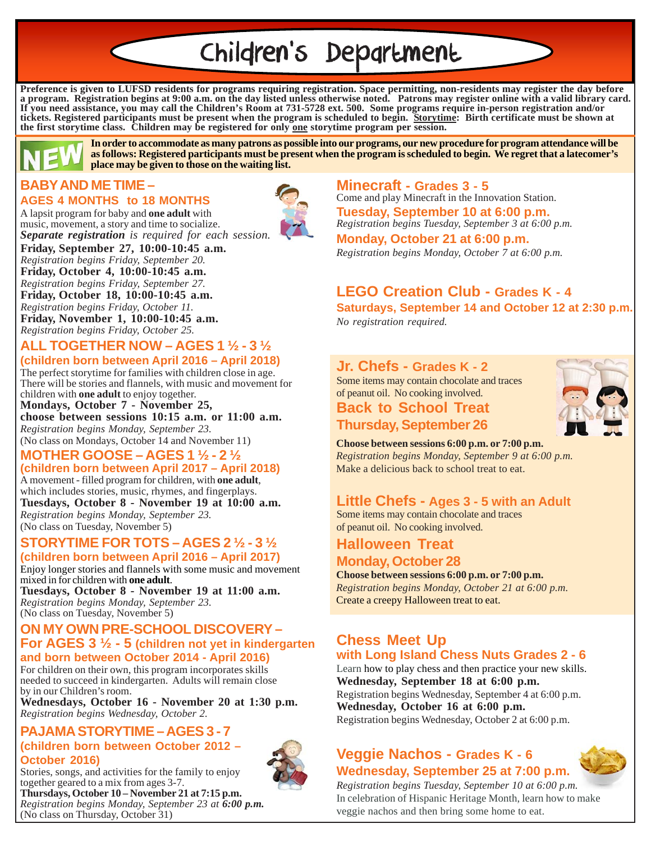# Children's Department

**Preference is given to LUFSD residents for programs requiring registration. Space permitting, non-residents may register the day before a program. Registration begins at 9:00 a.m. on the day listed unless otherwise noted. Patrons may register online with a valid library card. If you need assistance, you may call the Children's Room at 731-5728 ext. 500. Some programs require in-person registration and/or tickets. Registered participants must be present when the program is scheduled to begin. Storytime: Birth certificate must be shown at the first storytime class. Children may be registered for only one storytime program per session.**



**In order to accommodate as many patrons as possible into our programs, our new procedure for program attendance will be as follows: Registered participants must be present when the program is scheduled to begin. We regret that a latecomer's place may be given to those on the waiting list.**

# **BABY AND ME TIME –**

#### **AGES 4 MONTHS to 18 MONTHS**

A lapsit program for baby and **one adult** with music, movement, a story and time to socialize. *Separate registration is required for each session.*

**Friday, September 27, 10:00-10:45 a.m.** *Registration begins Friday, September 20.* **Friday, October 4, 10:00-10:45 a.m.** *Registration begins Friday, September 27.* **Friday, October 18, 10:00-10:45 a.m.** *Registration begins Friday, October 11.* **Friday, November 1, 10:00-10:45 a.m.**

# *Registration begins Friday, October 25.*

#### **ALL TOGETHER NOW – AGES 1 ½ - 3 ½ (children born between April 2016 – April 2018)**

The perfect storytime for families with children close in age. There will be stories and flannels, with music and movement for children with **one adult** to enjoy together.

**Mondays, October 7 - November 25, choose between sessions 10:15 a.m. or 11:00 a.m.** *Registration begins Monday, September 23.* (No class on Mondays, October 14 and November 11)

# **MOTHER GOOSE – AGES 1 ½ - 2 ½**

**(children born between April 2017 – April 2018)** A movement - filled program for children, with **one adult**, which includes stories, music, rhymes, and fingerplays. **Tuesdays, October 8 - November 19 at 10:00 a.m.** *Registration begins Monday, September 23.* (No class on Tuesday, November 5)

#### **STORYTIME FOR TOTS – AGES 2 ½ - 3 ½ (children born between April 2016 – April 2017)**

Enjoy longer stories and flannels with some music and movement mixed in for children with **one adult**.

**Tuesdays, October 8 - November 19 at 11:00 a.m.** *Registration begins Monday, September 23.* (No class on Tuesday, November 5)

#### **ON MY OWN PRE-SCHOOL DISCOVERY – For AGES 3 ½ - 5 (children not yet in kindergarten and born between October 2014 - April 2016)**

For children on their own, this program incorporates skills needed to succeed in kindergarten. Adults will remain close by in our Children's room.

**Wednesdays, October 16 - November 20 at 1:30 p.m.** *Registration begins Wednesday, October 2.*

#### **PAJAMA STORYTIME – AGES 3 - 7 (children born between October 2012 – October 2016)**



Stories, songs, and activities for the family to enjoy together geared to a mix from ages 3-7. **Thursdays, October 10 – November 21 at 7:15 p.m.** *Registration begins Monday, September 23 at 6:00 p.m.* (No class on Thursday, October 31)

**Minecraft - Grades 3 - 5** Come and play Minecraft in the Innovation Station. *Registration begins Tuesday, September 3 at 6:00 p.m.* **Tuesday, September 10 at 6:00 p.m.**

**Monday, October 21 at 6:00 p.m.** *Registration begins Monday, October 7 at 6:00 p.m.*

# **LEGO Creation Club - Grades K - 4**

**Saturdays, September 14 and October 12 at 2:30 p.m.** *No registration required.*

### **Jr. Chefs - Grades K - 2**

Some items may contain chocolate and traces of peanut oil. No cooking involved.





**Choose between sessions 6:00 p.m. or 7:00 p.m.** *Registration begins Monday, September 9 at 6:00 p.m.*

Make a delicious back to school treat to eat.

# **Little Chefs - Ages 3 - 5 with an Adult**

Some items may contain chocolate and traces of peanut oil. No cooking involved.

### **Halloween Treat Monday, October 28**

**Choose between sessions 6:00 p.m. or 7:00 p.m.** *Registration begins Monday, October 21 at 6:00 p.m.* Create a creepy Halloween treat to eat.

### **Chess Meet Up with Long Island Chess Nuts Grades 2 - 6**

Learn how to play chess and then practice your new skills. **Wednesday, September 18 at 6:00 p.m.** Registration begins Wednesday, September 4 at 6:00 p.m. **Wednesday, October 16 at 6:00 p.m.**

Registration begins Wednesday, October 2 at 6:00 p.m.

### **Veggie Nachos - Grades K - 6 Wednesday, September 25 at 7:00 p.m.**



*Registration begins Tuesday, September 10 at 6:00 p.m.* In celebration of Hispanic Heritage Month, learn how to make veggie nachos and then bring some home to eat.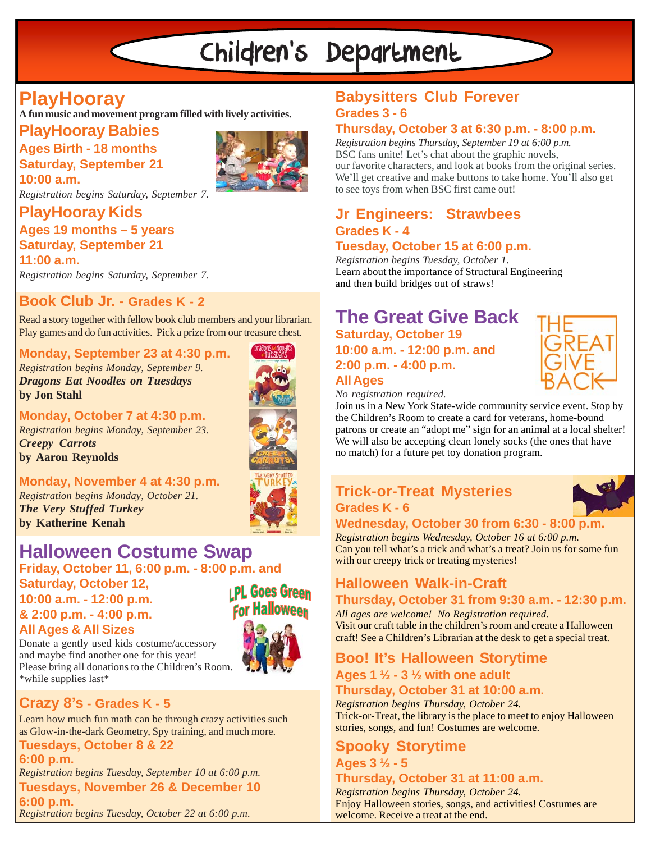# Children's Department

# **PlayHooray**

**A fun music and movement program filled with lively activities.**

# **PlayHooray Babies**

**Ages Birth - 18 months Saturday, September 21 10:00 a.m.**



*Registration begins Saturday, September 7.*

# **PlayHooray Kids**

### **Ages 19 months – 5 years Saturday, September 21**

**11:00 a.m.** *Registration begins Saturday, September 7.*

**Book Club Jr. - Grades K - 2**

Read a story together with fellow book club members and your librarian. Play games and do fun activities. Pick a prize from our treasure chest.

#### **Monday, September 23 at 4:30 p.m.**

*Registration begins Monday, September 9. Dragons Eat Noodles on Tuesdays* **by Jon Stahl**



**Monday, October 7 at 4:30 p.m.** *Registration begins Monday, September 23. Creepy Carrots* **by Aaron Reynolds**

# **Monday, November 4 at 4:30 p.m.**

*Registration begins Monday, October 21. The Very Stuffed Turkey* **by Katherine Kenah**



# **Friday, October 11, 6:00 p.m. - 8:00 p.m. and Halloween Costume Swap**

**Saturday, October 12, IPL Goes Green** 

**10:00 a.m. - 12:00 p.m. & 2:00 p.m. - 4:00 p.m. All Ages & All Sizes**



Donate a gently used kids costume/accessory and maybe find another one for this year! Please bring all donations to the Children's Room. \*while supplies last\*

# **Crazy 8's - Grades K - 5**

Learn how much fun math can be through crazy activities such as Glow-in-the-dark Geometry, Spy training, and much more. **Tuesdays, October 8 & 22**

**6:00 p.m. Tuesdays, November 26 & December 10 6:00 p.m.** *Registration begins Tuesday, September 10 at 6:00 p.m. Registration begins Tuesday, October 22 at 6:00 p.m.*

# **Babysitters Club Forever Grades 3 - 6**

### **Thursday, October 3 at 6:30 p.m. - 8:00 p.m.**

*Registration begins Thursday, September 19 at 6:00 p.m.* BSC fans unite! Let's chat about the graphic novels, our favorite characters, and look at books from the original series. We'll get creative and make buttons to take home. You'll also get to see toys from when BSC first came out!

# **Jr Engineers: Strawbees Grades K - 4**

#### **Tuesday, October 15 at 6:00 p.m.**

*Registration begins Tuesday, October 1.* Learn about the importance of Structural Engineering and then build bridges out of straws!

### **Saturday, October 19 10:00 a.m. - 12:00 p.m. and 2:00 p.m. - 4:00 p.m. All Ages The Great Give Back**

*No registration required.*

Join us in a New York State-wide community service event. Stop by the Children's Room to create a card for veterans, home-bound patrons or create an "adopt me" sign for an animal at a local shelter! We will also be accepting clean lonely socks (the ones that have no match) for a future pet toy donation program.

# **Trick-or-Treat Mysteries Grades K - 6**

#### **Wednesday, October 30 from 6:30 - 8:00 p.m.** *Registration begins Wednesday, October 16 at 6:00 p.m.*

Can you tell what's a trick and what's a treat? Join us for some fun with our creepy trick or treating mysteries!

# **Halloween Walk-in-Craft**

# **Thursday, October 31 from 9:30 a.m. - 12:30 p.m.**

*All ages are welcome! No Registration required.* Visit our craft table in the children's room and create a Halloween craft! See a Children's Librarian at the desk to get a special treat.

# **Boo! It's Halloween Storytime**

**Ages 1 ½ - 3 ½ with one adult**

# **Thursday, October 31 at 10:00 a.m.**

*Registration begins Thursday, October 24.* Trick-or-Treat, the library is the place to meet to enjoy Halloween stories, songs, and fun! Costumes are welcome.

# **Spooky Storytime Ages 3 ½ - 5**

### **Thursday, October 31 at 11:00 a.m.**

*Registration begins Thursday, October 24.* Enjoy Halloween stories, songs, and activities! Costumes are welcome. Receive a treat at the end.